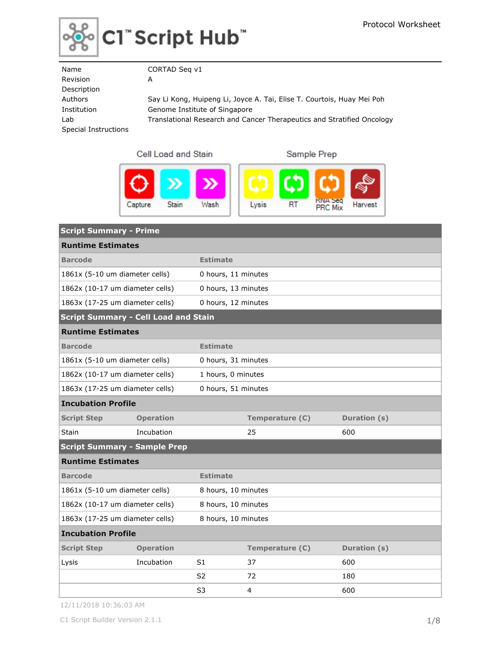

| Name                 | CORTAD Seg v1                                                          |
|----------------------|------------------------------------------------------------------------|
| Revision             | A                                                                      |
| Description          |                                                                        |
| Authors              | Say Li Kong, Huipeng Li, Joyce A. Tai, Elise T. Courtois, Huay Mei Poh |
| Institution          | Genome Institute of Singapore                                          |
| Lab                  | Translational Research and Cancer Therapeutics and Stratified Oncology |
| Special Instructions |                                                                        |
|                      |                                                                        |

Cell Load and Stain





| <b>Script Summary - Prime</b>               |                                                        |                     |                 |              |  |
|---------------------------------------------|--------------------------------------------------------|---------------------|-----------------|--------------|--|
| <b>Runtime Estimates</b>                    |                                                        |                     |                 |              |  |
| <b>Barcode</b>                              |                                                        | <b>Estimate</b>     |                 |              |  |
| 1861x (5-10 um diameter cells)              |                                                        | 0 hours, 11 minutes |                 |              |  |
| 1862x (10-17 um diameter cells)             |                                                        | 0 hours, 13 minutes |                 |              |  |
| 1863x (17-25 um diameter cells)             |                                                        | 0 hours, 12 minutes |                 |              |  |
| <b>Script Summary - Cell Load and Stain</b> |                                                        |                     |                 |              |  |
| <b>Runtime Estimates</b>                    |                                                        |                     |                 |              |  |
| <b>Barcode</b><br><b>Estimate</b>           |                                                        |                     |                 |              |  |
| 1861x (5-10 um diameter cells)              |                                                        | 0 hours, 31 minutes |                 |              |  |
|                                             | 1862x (10-17 um diameter cells)<br>1 hours, 0 minutes  |                     |                 |              |  |
|                                             | 1863x (17-25 um diameter cells)<br>0 hours, 51 minutes |                     |                 |              |  |
| <b>Incubation Profile</b>                   |                                                        |                     |                 |              |  |
| <b>Script Step</b>                          | <b>Operation</b>                                       |                     | Temperature (C) | Duration (s) |  |
| <b>Stain</b>                                | Incubation                                             |                     | 25              | 600          |  |
| <b>Script Summary - Sample Prep</b>         |                                                        |                     |                 |              |  |
| <b>Runtime Estimates</b>                    |                                                        |                     |                 |              |  |
| <b>Barcode</b>                              |                                                        | <b>Estimate</b>     |                 |              |  |
| 1861x (5-10 um diameter cells)              |                                                        | 8 hours, 10 minutes |                 |              |  |
| 1862x (10-17 um diameter cells)             |                                                        | 8 hours, 10 minutes |                 |              |  |
| 1863x (17-25 um diameter cells)             |                                                        | 8 hours, 10 minutes |                 |              |  |
| <b>Incubation Profile</b>                   |                                                        |                     |                 |              |  |
| <b>Script Step</b>                          | <b>Operation</b>                                       |                     | Temperature (C) | Duration (s) |  |
| Lysis                                       | Incubation                                             | S <sub>1</sub>      | 37              | 600          |  |
|                                             |                                                        | S2                  | 72              | 180          |  |
|                                             |                                                        | S3                  | 4               | 600          |  |

12/11/2018 10:36:03 AM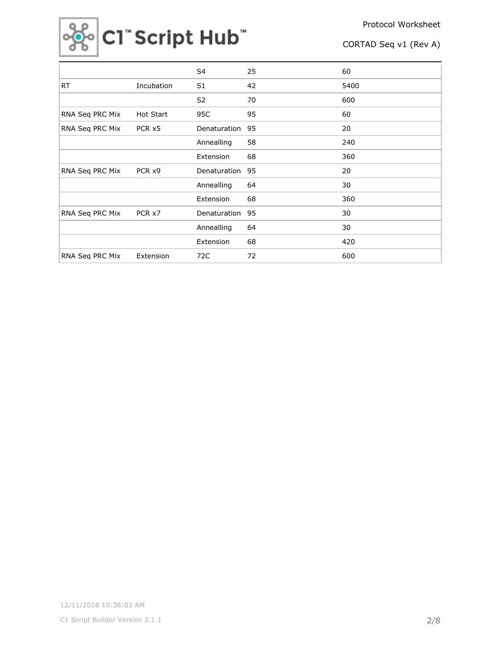

|                 |            | S4             | 25 | 60   |
|-----------------|------------|----------------|----|------|
| <b>RT</b>       | Incubation | S <sub>1</sub> | 42 | 5400 |
|                 |            | S <sub>2</sub> | 70 | 600  |
| RNA Seq PRC Mix | Hot Start  | 95C            | 95 | 60   |
| RNA Seq PRC Mix | PCR x5     | Denaturation   | 95 | 20   |
|                 |            | Annealling     | 58 | 240  |
|                 |            | Extension      | 68 | 360  |
| RNA Seq PRC Mix | PCR x9     | Denaturation   | 95 | 20   |
|                 |            | Annealling     | 64 | 30   |
|                 |            | Extension      | 68 | 360  |
| RNA Seq PRC Mix | PCR x7     | Denaturation   | 95 | 30   |
|                 |            | Annealling     | 64 | 30   |
|                 |            | Extension      | 68 | 420  |
| RNA Seq PRC Mix | Extension  | 72C            | 72 | 600  |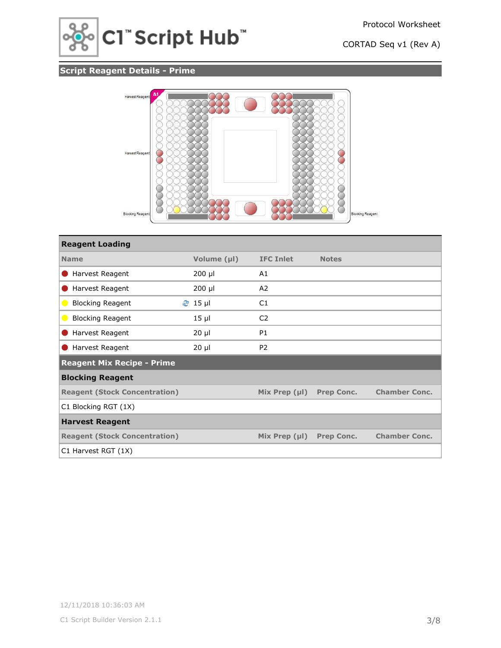

# **Script Reagent Details - Prime**



| <b>Reagent Loading</b>               |                |                    |                   |                      |
|--------------------------------------|----------------|--------------------|-------------------|----------------------|
| <b>Name</b>                          | Volume (µl)    | <b>IFC Inlet</b>   | <b>Notes</b>      |                      |
| Harvest Reagent                      | $200$ µl       | A1                 |                   |                      |
| Harvest Reagent                      | $200$ µl       | A2                 |                   |                      |
| <b>Blocking Reagent</b><br>$\bullet$ | <b>֎</b> 15 µl | C1                 |                   |                      |
| <b>Blocking Reagent</b><br>$\bullet$ | $15$ µl        | C <sub>2</sub>     |                   |                      |
| Harvest Reagent                      | $20 \mu$       | <b>P1</b>          |                   |                      |
| Harvest Reagent                      | $20 \mu$       | P <sub>2</sub>     |                   |                      |
| <b>Reagent Mix Recipe - Prime</b>    |                |                    |                   |                      |
| <b>Blocking Reagent</b>              |                |                    |                   |                      |
| <b>Reagent (Stock Concentration)</b> |                | Mix Prep $(\mu I)$ | <b>Prep Conc.</b> | <b>Chamber Conc.</b> |
| C1 Blocking RGT (1X)                 |                |                    |                   |                      |
| <b>Harvest Reagent</b>               |                |                    |                   |                      |
| <b>Reagent (Stock Concentration)</b> |                | Mix Prep $(\mu I)$ | <b>Prep Conc.</b> | <b>Chamber Conc.</b> |
| C1 Harvest RGT (1X)                  |                |                    |                   |                      |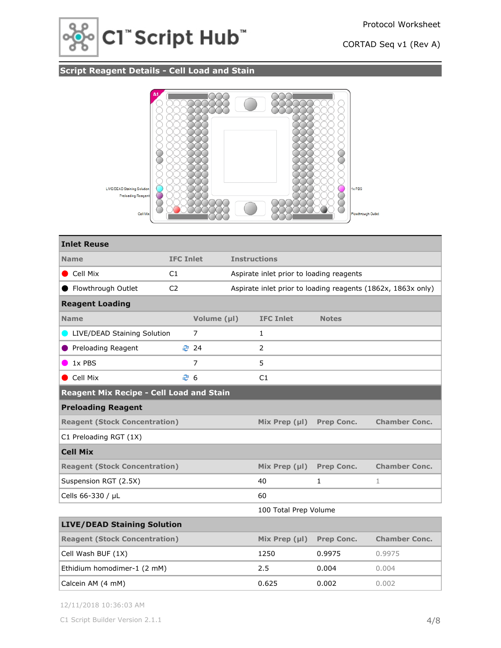



# **Script Reagent Details - Cell Load and Stain**



| <b>Inlet Reuse</b>                       |                  |                |                     |                                          |                   |                                                              |
|------------------------------------------|------------------|----------------|---------------------|------------------------------------------|-------------------|--------------------------------------------------------------|
| <b>Name</b>                              | <b>IFC Inlet</b> |                | <b>Instructions</b> |                                          |                   |                                                              |
| $\bullet$ Cell Mix                       | C1               |                |                     | Aspirate inlet prior to loading reagents |                   |                                                              |
| ● Flowthrough Outlet                     | C <sub>2</sub>   |                |                     |                                          |                   | Aspirate inlet prior to loading reagents (1862x, 1863x only) |
| <b>Reagent Loading</b>                   |                  |                |                     |                                          |                   |                                                              |
| <b>Name</b>                              |                  | Volume (µl)    |                     | <b>IFC Inlet</b>                         | <b>Notes</b>      |                                                              |
| LIVE/DEAD Staining Solution              |                  | 7              |                     | $\mathbf{1}$                             |                   |                                                              |
| <b>Preloading Reagent</b>                | ₹ 24             |                |                     | $\overline{2}$                           |                   |                                                              |
| 1x PBS                                   |                  | $\overline{7}$ |                     | 5                                        |                   |                                                              |
| Cell Mix                                 | € 6              |                | C1                  |                                          |                   |                                                              |
| Reagent Mix Recipe - Cell Load and Stain |                  |                |                     |                                          |                   |                                                              |
| <b>Preloading Reagent</b>                |                  |                |                     |                                          |                   |                                                              |
| <b>Reagent (Stock Concentration)</b>     |                  |                |                     | Mix Prep $(\mu I)$                       | <b>Prep Conc.</b> | <b>Chamber Conc.</b>                                         |
| C1 Preloading RGT (1X)                   |                  |                |                     |                                          |                   |                                                              |
| <b>Cell Mix</b>                          |                  |                |                     |                                          |                   |                                                              |
| <b>Reagent (Stock Concentration)</b>     |                  |                |                     | Mix Prep $(\mu I)$                       | <b>Prep Conc.</b> | <b>Chamber Conc.</b>                                         |
| Suspension RGT (2.5X)                    |                  |                |                     | 40                                       | $\mathbf{1}$      | $\mathbf{1}$                                                 |
| Cells 66-330 / µL                        |                  |                |                     | 60                                       |                   |                                                              |
|                                          |                  |                |                     | 100 Total Prep Volume                    |                   |                                                              |
| <b>LIVE/DEAD Staining Solution</b>       |                  |                |                     |                                          |                   |                                                              |
| <b>Reagent (Stock Concentration)</b>     |                  |                |                     | Mix Prep $(\mu I)$                       | <b>Prep Conc.</b> | <b>Chamber Conc.</b>                                         |
| Cell Wash BUF (1X)                       |                  |                |                     | 1250                                     | 0.9975            | 0.9975                                                       |
| Ethidium homodimer-1 (2 mM)              |                  |                |                     | 2.5                                      | 0.004             | 0.004                                                        |
| Calcein AM (4 mM)                        |                  |                |                     | 0.625                                    | 0.002             | 0.002                                                        |

12/11/2018 10:36:03 AM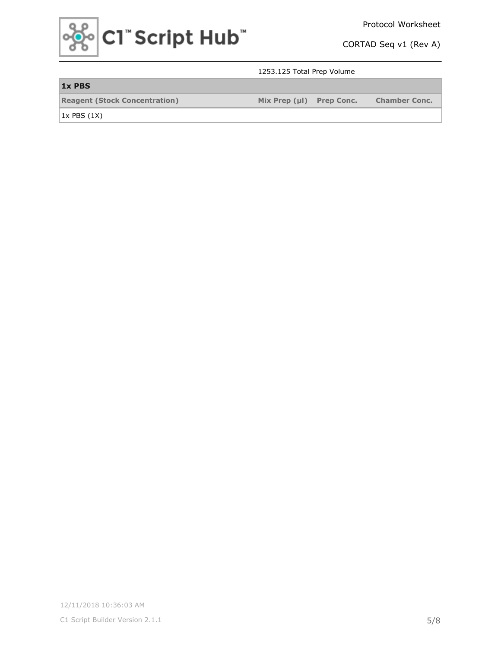

Protocol Worksheet

CORTAD Seq v1 (Rev A)

### 1253.125 Total Prep Volume

| 1x PBS                               |                          |                      |
|--------------------------------------|--------------------------|----------------------|
| <b>Reagent (Stock Concentration)</b> | Mix Prep (µl) Prep Conc. | <b>Chamber Conc.</b> |

 $1x$  PBS  $(1X)$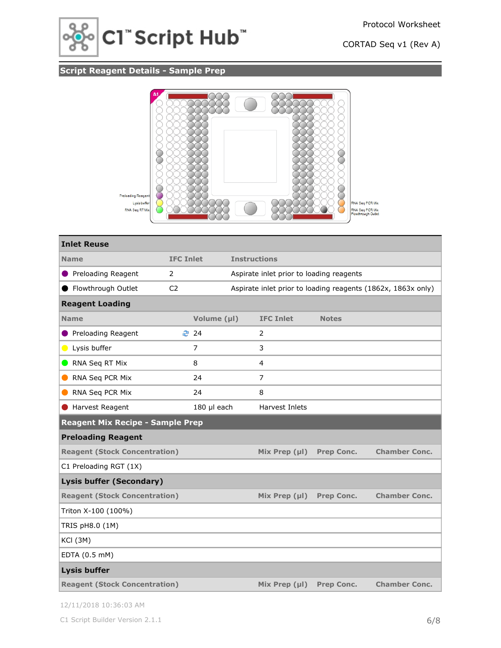

# **Script Reagent Details - Sample Prep**



| <b>Inlet Reuse</b>                      |                  |             |                                                              |                                          |                   |                      |
|-----------------------------------------|------------------|-------------|--------------------------------------------------------------|------------------------------------------|-------------------|----------------------|
| <b>Name</b>                             | <b>IFC Inlet</b> |             | <b>Instructions</b>                                          |                                          |                   |                      |
| <b>Preloading Reagent</b>               | 2                |             |                                                              | Aspirate inlet prior to loading reagents |                   |                      |
| Flowthrough Outlet                      | C <sub>2</sub>   |             | Aspirate inlet prior to loading reagents (1862x, 1863x only) |                                          |                   |                      |
| <b>Reagent Loading</b>                  |                  |             |                                                              |                                          |                   |                      |
| <b>Name</b>                             |                  | Volume (µl) |                                                              | <b>IFC Inlet</b>                         | <b>Notes</b>      |                      |
| Preloading Reagent                      | ₹ 24             |             |                                                              | 2                                        |                   |                      |
| Lysis buffer                            |                  | 7           |                                                              | 3                                        |                   |                      |
| RNA Seq RT Mix                          |                  | 8           |                                                              | 4                                        |                   |                      |
| RNA Seq PCR Mix                         |                  | 24          |                                                              | 7                                        |                   |                      |
| RNA Seq PCR Mix                         |                  | 24          |                                                              | 8                                        |                   |                      |
| Harvest Reagent                         |                  | 180 µl each |                                                              | Harvest Inlets                           |                   |                      |
| <b>Reagent Mix Recipe - Sample Prep</b> |                  |             |                                                              |                                          |                   |                      |
| <b>Preloading Reagent</b>               |                  |             |                                                              |                                          |                   |                      |
| <b>Reagent (Stock Concentration)</b>    |                  |             |                                                              | Mix Prep $(\mu I)$                       | <b>Prep Conc.</b> | <b>Chamber Conc.</b> |
| C1 Preloading RGT (1X)                  |                  |             |                                                              |                                          |                   |                      |
| <b>Lysis buffer (Secondary)</b>         |                  |             |                                                              |                                          |                   |                      |
| <b>Reagent (Stock Concentration)</b>    |                  |             |                                                              | Mix Prep $(\mu I)$                       | <b>Prep Conc.</b> | <b>Chamber Conc.</b> |
| Triton X-100 (100%)                     |                  |             |                                                              |                                          |                   |                      |
| TRIS pH8.0 (1M)                         |                  |             |                                                              |                                          |                   |                      |
| <b>KCI (3M)</b>                         |                  |             |                                                              |                                          |                   |                      |
| EDTA (0.5 mM)                           |                  |             |                                                              |                                          |                   |                      |
| <b>Lysis buffer</b>                     |                  |             |                                                              |                                          |                   |                      |
| <b>Reagent (Stock Concentration)</b>    |                  |             |                                                              | Mix Prep $(\mu I)$                       | <b>Prep Conc.</b> | <b>Chamber Conc.</b> |

12/11/2018 10:36:03 AM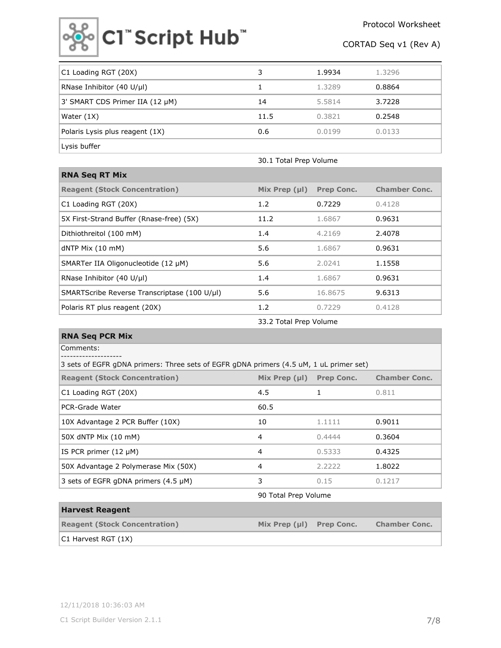

| C1 Loading RGT (20X)            |      | 1.9934 | 1.3296 |
|---------------------------------|------|--------|--------|
| RNase Inhibitor (40 U/µl)       |      | 1.3289 | 0.8864 |
| 3' SMART CDS Primer IIA (12 µM) | 14   | 5.5814 | 3.7228 |
| Water (1X)                      | 11.5 | 0.3821 | 0.2548 |
| Polaris Lysis plus reagent (1X) | 0.6  | 0.0199 | 0.0133 |
| Lysis buffer                    |      |        |        |

| <b>RNA Seq RT Mix</b>                        |                    |                   |                      |
|----------------------------------------------|--------------------|-------------------|----------------------|
| <b>Reagent (Stock Concentration)</b>         | Mix Prep $(\mu I)$ | <b>Prep Conc.</b> | <b>Chamber Conc.</b> |
| C1 Loading RGT (20X)                         | 1.2                | 0.7229            | 0.4128               |
| 5X First-Strand Buffer (Rnase-free) (5X)     | 11.2               | 1.6867            | 0.9631               |
| Dithiothreitol (100 mM)                      | 1.4                | 4.2169            | 2.4078               |
| $dNTP$ Mix $(10$ mM)                         | 5.6                | 1.6867            | 0.9631               |
| SMARTer IIA Oligonucleotide (12 µM)          | 5.6                | 2.0241            | 1.1558               |
| RNase Inhibitor $(40 \text{ U/}\mu\text{I})$ | 1.4                | 1.6867            | 0.9631               |
| SMARTScribe Reverse Transcriptase (100 U/µl) | 5.6                | 16.8675           | 9.6313               |
| Polaris RT plus reagent (20X)                | 1.2                | 0.7229            | 0.4128               |
|                                              |                    |                   |                      |

33.2 Total Prep Volume

30.1 Total Prep Volume

| <b>RNA Seq PCR Mix</b>                                                                 |                      |                   |                      |  |  |  |
|----------------------------------------------------------------------------------------|----------------------|-------------------|----------------------|--|--|--|
| Comments:<br>. - - - - - - - - -                                                       |                      |                   |                      |  |  |  |
| 3 sets of EGFR gDNA primers: Three sets of EGFR gDNA primers (4.5 uM, 1 uL primer set) |                      |                   |                      |  |  |  |
| <b>Reagent (Stock Concentration)</b>                                                   | Mix Prep $(\mu I)$   | <b>Prep Conc.</b> | <b>Chamber Conc.</b> |  |  |  |
| C1 Loading RGT (20X)                                                                   | 4.5                  |                   | 0.811                |  |  |  |
| <b>PCR-Grade Water</b>                                                                 | 60.5                 |                   |                      |  |  |  |
| 10X Advantage 2 PCR Buffer (10X)                                                       | 10                   | 1.1111            | 0.9011               |  |  |  |
| 50X dNTP Mix (10 mM)                                                                   | 4                    | 0.4444            | 0.3604               |  |  |  |
| IS PCR primer $(12 \mu M)$                                                             | 4                    | 0.5333            | 0.4325               |  |  |  |
| 50X Advantage 2 Polymerase Mix (50X)                                                   | 4                    | 2.2222            | 1.8022               |  |  |  |
| 3 sets of EGFR gDNA primers $(4.5 \mu M)$                                              | 3                    | 0.15              | 0.1217               |  |  |  |
|                                                                                        | 90 Total Prep Volume |                   |                      |  |  |  |
| <b>Harvest Reagent</b>                                                                 |                      |                   |                      |  |  |  |

| <b>HIGH YEST MEASEIN</b>             |                    |                   |                      |
|--------------------------------------|--------------------|-------------------|----------------------|
| <b>Reagent (Stock Concentration)</b> | Mix Prep $(\mu I)$ | <b>Prep Conc.</b> | <b>Chamber Conc.</b> |
| C1 Harvest RGT (1X)                  |                    |                   |                      |